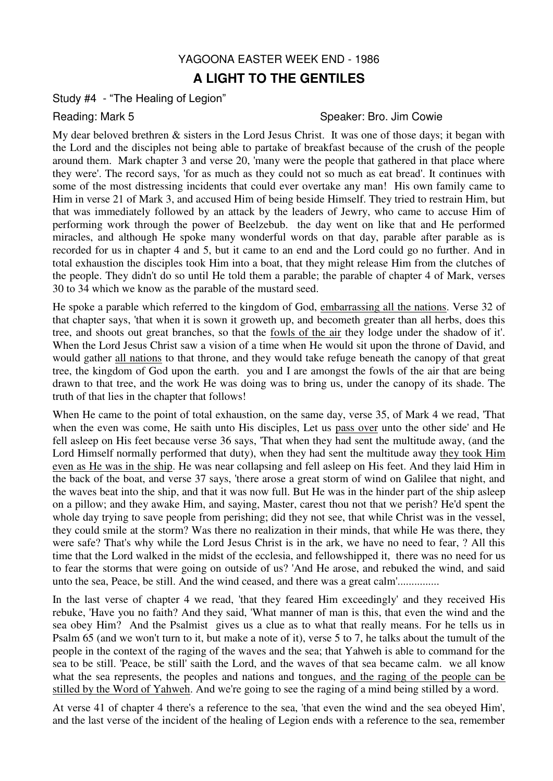## YAGOONA EASTER WEEK END - 1986

## **A LIGHT TO THE GENTILES**

Study #4 - "The Healing of Legion"

## Reading: Mark 5 Speaker: Bro. Jim Cowie

My dear beloved brethren & sisters in the Lord Jesus Christ. It was one of those days; it began with the Lord and the disciples not being able to partake of breakfast because of the crush of the people around them. Mark chapter 3 and verse 20, 'many were the people that gathered in that place where they were'. The record says, 'for as much as they could not so much as eat bread'. It continues with some of the most distressing incidents that could ever overtake any man! His own family came to Him in verse 21 of Mark 3, and accused Him of being beside Himself. They tried to restrain Him, but that was immediately followed by an attack by the leaders of Jewry, who came to accuse Him of performing work through the power of Beelzebub. the day went on like that and He performed miracles, and although He spoke many wonderful words on that day, parable after parable as is recorded for us in chapter 4 and 5, but it came to an end and the Lord could go no further. And in total exhaustion the disciples took Him into a boat, that they might release Him from the clutches of the people. They didn't do so until He told them a parable; the parable of chapter 4 of Mark, verses 30 to 34 which we know as the parable of the mustard seed.

He spoke a parable which referred to the kingdom of God, embarrassing all the nations. Verse 32 of that chapter says, 'that when it is sown it groweth up, and becometh greater than all herbs, does this tree, and shoots out great branches, so that the fowls of the air they lodge under the shadow of it'. When the Lord Jesus Christ saw a vision of a time when He would sit upon the throne of David, and would gather all nations to that throne, and they would take refuge beneath the canopy of that great tree, the kingdom of God upon the earth. you and I are amongst the fowls of the air that are being drawn to that tree, and the work He was doing was to bring us, under the canopy of its shade. The truth of that lies in the chapter that follows!

When He came to the point of total exhaustion, on the same day, verse 35, of Mark 4 we read, 'That when the even was come, He saith unto His disciples, Let us pass over unto the other side' and He fell asleep on His feet because verse 36 says, 'That when they had sent the multitude away, (and the Lord Himself normally performed that duty), when they had sent the multitude away they took Him even as He was in the ship. He was near collapsing and fell asleep on His feet. And they laid Him in the back of the boat, and verse 37 says, 'there arose a great storm of wind on Galilee that night, and the waves beat into the ship, and that it was now full. But He was in the hinder part of the ship asleep on a pillow; and they awake Him, and saying, Master, carest thou not that we perish? He'd spent the whole day trying to save people from perishing; did they not see, that while Christ was in the vessel, they could smile at the storm? Was there no realization in their minds, that while He was there, they were safe? That's why while the Lord Jesus Christ is in the ark, we have no need to fear, ? All this time that the Lord walked in the midst of the ecclesia, and fellowshipped it, there was no need for us to fear the storms that were going on outside of us? 'And He arose, and rebuked the wind, and said unto the sea, Peace, be still. And the wind ceased, and there was a great calm'...............

In the last verse of chapter 4 we read, 'that they feared Him exceedingly' and they received His rebuke, 'Have you no faith? And they said, 'What manner of man is this, that even the wind and the sea obey Him? And the Psalmist gives us a clue as to what that really means. For he tells us in Psalm 65 (and we won't turn to it, but make a note of it), verse 5 to 7, he talks about the tumult of the people in the context of the raging of the waves and the sea; that Yahweh is able to command for the sea to be still. 'Peace, be still' saith the Lord, and the waves of that sea became calm. we all know what the sea represents, the peoples and nations and tongues, and the raging of the people can be stilled by the Word of Yahweh. And we're going to see the raging of a mind being stilled by a word.

At verse 41 of chapter 4 there's a reference to the sea, 'that even the wind and the sea obeyed Him', and the last verse of the incident of the healing of Legion ends with a reference to the sea, remember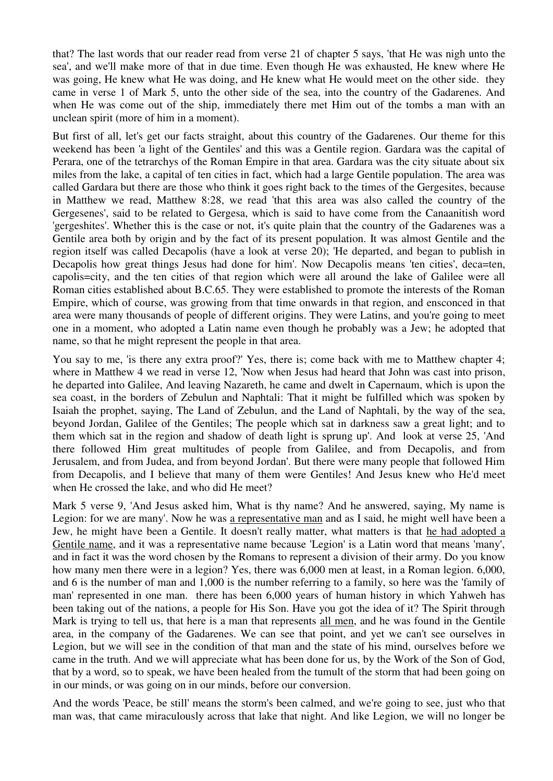that? The last words that our reader read from verse 21 of chapter 5 says, 'that He was nigh unto the sea', and we'll make more of that in due time. Even though He was exhausted, He knew where He was going, He knew what He was doing, and He knew what He would meet on the other side. they came in verse 1 of Mark 5, unto the other side of the sea, into the country of the Gadarenes. And when He was come out of the ship, immediately there met Him out of the tombs a man with an unclean spirit (more of him in a moment).

But first of all, let's get our facts straight, about this country of the Gadarenes. Our theme for this weekend has been 'a light of the Gentiles' and this was a Gentile region. Gardara was the capital of Perara, one of the tetrarchys of the Roman Empire in that area. Gardara was the city situate about six miles from the lake, a capital of ten cities in fact, which had a large Gentile population. The area was called Gardara but there are those who think it goes right back to the times of the Gergesites, because in Matthew we read, Matthew 8:28, we read 'that this area was also called the country of the Gergesenes', said to be related to Gergesa, which is said to have come from the Canaanitish word 'gergeshites'. Whether this is the case or not, it's quite plain that the country of the Gadarenes was a Gentile area both by origin and by the fact of its present population. It was almost Gentile and the region itself was called Decapolis (have a look at verse 20); 'He departed, and began to publish in Decapolis how great things Jesus had done for him'. Now Decapolis means 'ten cities', deca=ten, capolis=city, and the ten cities of that region which were all around the lake of Galilee were all Roman cities established about B.C.65. They were established to promote the interests of the Roman Empire, which of course, was growing from that time onwards in that region, and ensconced in that area were many thousands of people of different origins. They were Latins, and you're going to meet one in a moment, who adopted a Latin name even though he probably was a Jew; he adopted that name, so that he might represent the people in that area.

You say to me, 'is there any extra proof?' Yes, there is; come back with me to Matthew chapter 4; where in Matthew 4 we read in verse 12, 'Now when Jesus had heard that John was cast into prison, he departed into Galilee, And leaving Nazareth, he came and dwelt in Capernaum, which is upon the sea coast, in the borders of Zebulun and Naphtali: That it might be fulfilled which was spoken by Isaiah the prophet, saying, The Land of Zebulun, and the Land of Naphtali, by the way of the sea, beyond Jordan, Galilee of the Gentiles; The people which sat in darkness saw a great light; and to them which sat in the region and shadow of death light is sprung up'. And look at verse 25, 'And there followed Him great multitudes of people from Galilee, and from Decapolis, and from Jerusalem, and from Judea, and from beyond Jordan'. But there were many people that followed Him from Decapolis, and I believe that many of them were Gentiles! And Jesus knew who He'd meet when He crossed the lake, and who did He meet?

Mark 5 verse 9, 'And Jesus asked him, What is thy name? And he answered, saying, My name is Legion: for we are many'. Now he was a representative man and as I said, he might well have been a Jew, he might have been a Gentile. It doesn't really matter, what matters is that he had adopted a Gentile name, and it was a representative name because 'Legion' is a Latin word that means 'many', and in fact it was the word chosen by the Romans to represent a division of their army. Do you know how many men there were in a legion? Yes, there was 6,000 men at least, in a Roman legion. 6,000, and 6 is the number of man and 1,000 is the number referring to a family, so here was the 'family of man' represented in one man. there has been 6,000 years of human history in which Yahweh has been taking out of the nations, a people for His Son. Have you got the idea of it? The Spirit through Mark is trying to tell us, that here is a man that represents all men, and he was found in the Gentile area, in the company of the Gadarenes. We can see that point, and yet we can't see ourselves in Legion, but we will see in the condition of that man and the state of his mind, ourselves before we came in the truth. And we will appreciate what has been done for us, by the Work of the Son of God, that by a word, so to speak, we have been healed from the tumult of the storm that had been going on in our minds, or was going on in our minds, before our conversion.

And the words 'Peace, be still' means the storm's been calmed, and we're going to see, just who that man was, that came miraculously across that lake that night. And like Legion, we will no longer be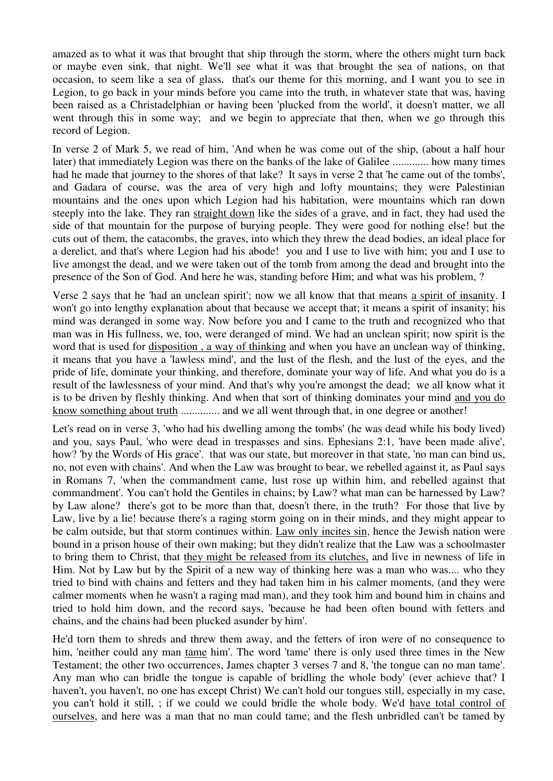amazed as to what it was that brought that ship through the storm, where the others might turn back or maybe even sink, that night. We'll see what it was that brought the sea of nations, on that occasion, to seem like a sea of glass. that's our theme for this morning, and I want you to see in Legion, to go back in your minds before you came into the truth, in whatever state that was, having been raised as a Christadelphian or having been 'plucked from the world', it doesn't matter, we all went through this in some way; and we begin to appreciate that then, when we go through this record of Legion.

In verse 2 of Mark 5, we read of him, 'And when he was come out of the ship, (about a half hour later) that immediately Legion was there on the banks of the lake of Galilee ............. how many times had he made that journey to the shores of that lake? It says in verse 2 that 'he came out of the tombs', and Gadara of course, was the area of very high and lofty mountains; they were Palestinian mountains and the ones upon which Legion had his habitation, were mountains which ran down steeply into the lake. They ran straight down like the sides of a grave, and in fact, they had used the side of that mountain for the purpose of burying people. They were good for nothing else! but the cuts out of them, the catacombs, the graves, into which they threw the dead bodies, an ideal place for a derelict, and that's where Legion had his abode! you and I use to live with him; you and I use to live amongst the dead, and we were taken out of the tomb from among the dead and brought into the presence of the Son of God. And here he was, standing before Him; and what was his problem, ?

Verse 2 says that he 'had an unclean spirit'; now we all know that that means a spirit of insanity. I won't go into lengthy explanation about that because we accept that; it means a spirit of insanity; his mind was deranged in some way. Now before you and I came to the truth and recognized who that man was in His fullness, we, too, were deranged of mind. We had an unclean spirit; now spirit is the word that is used for disposition , a way of thinking and when you have an unclean way of thinking, it means that you have a 'lawless mind', and the lust of the flesh, and the lust of the eyes, and the pride of life, dominate your thinking, and therefore, dominate your way of life. And what you do is a result of the lawlessness of your mind. And that's why you're amongst the dead; we all know what it is to be driven by fleshly thinking. And when that sort of thinking dominates your mind and you do know something about truth .............. and we all went through that, in one degree or another!

Let's read on in verse 3, 'who had his dwelling among the tombs' (he was dead while his body lived) and you, says Paul, 'who were dead in trespasses and sins. Ephesians 2:1, 'have been made alive', how? 'by the Words of His grace'. that was our state, but moreover in that state, 'no man can bind us, no, not even with chains'. And when the Law was brought to bear, we rebelled against it, as Paul says in Romans 7, 'when the commandment came, lust rose up within him, and rebelled against that commandment'. You can't hold the Gentiles in chains; by Law? what man can be harnessed by Law? by Law alone? there's got to be more than that, doesn't there, in the truth? For those that live by Law, live by a lie! because there's a raging storm going on in their minds, and they might appear to be calm outside, but that storm continues within. Law only incites sin, hence the Jewish nation were bound in a prison house of their own making; but they didn't realize that the Law was a schoolmaster to bring them to Christ, that they might be released from its clutches, and live in newness of life in Him. Not by Law but by the Spirit of a new way of thinking here was a man who was.... who they tried to bind with chains and fetters and they had taken him in his calmer moments, (and they were calmer moments when he wasn't a raging mad man), and they took him and bound him in chains and tried to hold him down, and the record says, 'because he had been often bound with fetters and chains, and the chains had been plucked asunder by him'.

He'd torn them to shreds and threw them away, and the fetters of iron were of no consequence to him, 'neither could any man tame him'. The word 'tame' there is only used three times in the New Testament; the other two occurrences, James chapter 3 verses 7 and 8, 'the tongue can no man tame'. Any man who can bridle the tongue is capable of bridling the whole body' (ever achieve that? I haven't, you haven't, no one has except Christ) We can't hold our tongues still, especially in my case, you can't hold it still, ; if we could we could bridle the whole body. We'd have total control of ourselves, and here was a man that no man could tame; and the flesh unbridled can't be tamed by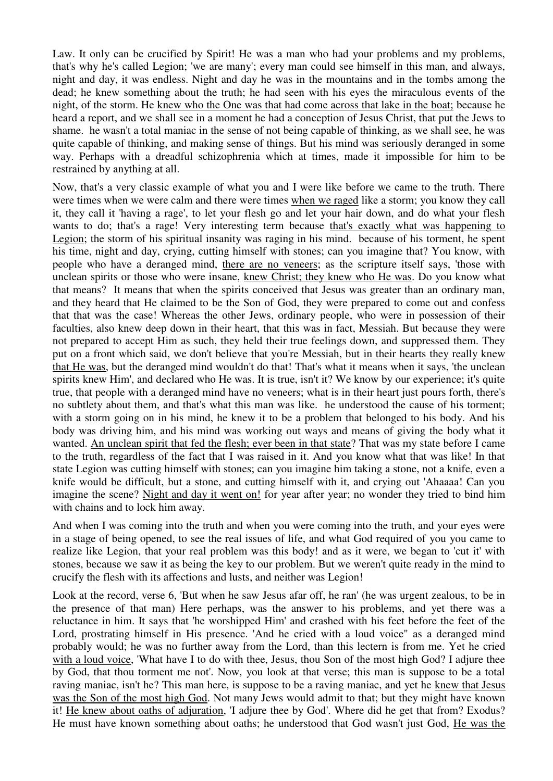Law. It only can be crucified by Spirit! He was a man who had your problems and my problems, that's why he's called Legion; 'we are many'; every man could see himself in this man, and always, night and day, it was endless. Night and day he was in the mountains and in the tombs among the dead; he knew something about the truth; he had seen with his eyes the miraculous events of the night, of the storm. He knew who the One was that had come across that lake in the boat; because he heard a report, and we shall see in a moment he had a conception of Jesus Christ, that put the Jews to shame. he wasn't a total maniac in the sense of not being capable of thinking, as we shall see, he was quite capable of thinking, and making sense of things. But his mind was seriously deranged in some way. Perhaps with a dreadful schizophrenia which at times, made it impossible for him to be restrained by anything at all.

Now, that's a very classic example of what you and I were like before we came to the truth. There were times when we were calm and there were times when we raged like a storm; you know they call it, they call it 'having a rage', to let your flesh go and let your hair down, and do what your flesh wants to do; that's a rage! Very interesting term because that's exactly what was happening to Legion; the storm of his spiritual insanity was raging in his mind. because of his torment, he spent his time, night and day, crying, cutting himself with stones; can you imagine that? You know, with people who have a deranged mind, there are no veneers; as the scripture itself says, 'those with unclean spirits or those who were insane, knew Christ; they knew who He was. Do you know what that means? It means that when the spirits conceived that Jesus was greater than an ordinary man, and they heard that He claimed to be the Son of God, they were prepared to come out and confess that that was the case! Whereas the other Jews, ordinary people, who were in possession of their faculties, also knew deep down in their heart, that this was in fact, Messiah. But because they were not prepared to accept Him as such, they held their true feelings down, and suppressed them. They put on a front which said, we don't believe that you're Messiah, but in their hearts they really knew that He was, but the deranged mind wouldn't do that! That's what it means when it says, 'the unclean spirits knew Him', and declared who He was. It is true, isn't it? We know by our experience; it's quite true, that people with a deranged mind have no veneers; what is in their heart just pours forth, there's no subtlety about them, and that's what this man was like. he understood the cause of his torment; with a storm going on in his mind, he knew it to be a problem that belonged to his body. And his body was driving him, and his mind was working out ways and means of giving the body what it wanted. An unclean spirit that fed the flesh; ever been in that state? That was my state before I came to the truth, regardless of the fact that I was raised in it. And you know what that was like! In that state Legion was cutting himself with stones; can you imagine him taking a stone, not a knife, even a knife would be difficult, but a stone, and cutting himself with it, and crying out 'Ahaaaa! Can you imagine the scene? Night and day it went on! for year after year; no wonder they tried to bind him with chains and to lock him away.

And when I was coming into the truth and when you were coming into the truth, and your eyes were in a stage of being opened, to see the real issues of life, and what God required of you you came to realize like Legion, that your real problem was this body! and as it were, we began to 'cut it' with stones, because we saw it as being the key to our problem. But we weren't quite ready in the mind to crucify the flesh with its affections and lusts, and neither was Legion!

Look at the record, verse 6, 'But when he saw Jesus afar off, he ran' (he was urgent zealous, to be in the presence of that man) Here perhaps, was the answer to his problems, and yet there was a reluctance in him. It says that 'he worshipped Him' and crashed with his feet before the feet of the Lord, prostrating himself in His presence. 'And he cried with a loud voice" as a deranged mind probably would; he was no further away from the Lord, than this lectern is from me. Yet he cried with a loud voice, 'What have I to do with thee, Jesus, thou Son of the most high God? I adjure thee by God, that thou torment me not'. Now, you look at that verse; this man is suppose to be a total raving maniac, isn't he? This man here, is suppose to be a raving maniac, and yet he knew that Jesus was the Son of the most high God. Not many Jews would admit to that; but they might have known it! He knew about oaths of adjuration, 'I adjure thee by God'. Where did he get that from? Exodus? He must have known something about oaths; he understood that God wasn't just God, He was the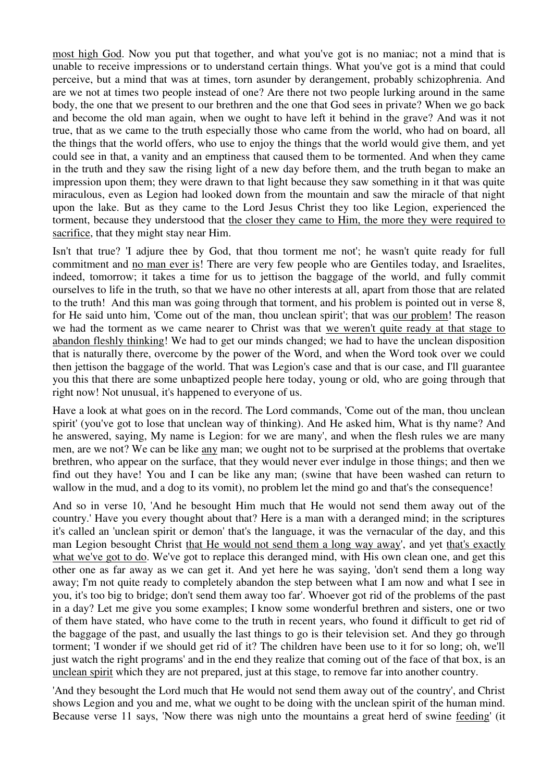most high God. Now you put that together, and what you've got is no maniac; not a mind that is unable to receive impressions or to understand certain things. What you've got is a mind that could perceive, but a mind that was at times, torn asunder by derangement, probably schizophrenia. And are we not at times two people instead of one? Are there not two people lurking around in the same body, the one that we present to our brethren and the one that God sees in private? When we go back and become the old man again, when we ought to have left it behind in the grave? And was it not true, that as we came to the truth especially those who came from the world, who had on board, all the things that the world offers, who use to enjoy the things that the world would give them, and yet could see in that, a vanity and an emptiness that caused them to be tormented. And when they came in the truth and they saw the rising light of a new day before them, and the truth began to make an impression upon them; they were drawn to that light because they saw something in it that was quite miraculous, even as Legion had looked down from the mountain and saw the miracle of that night upon the lake. But as they came to the Lord Jesus Christ they too like Legion, experienced the torment, because they understood that the closer they came to Him, the more they were required to sacrifice, that they might stay near Him.

Isn't that true? 'I adjure thee by God, that thou torment me not'; he wasn't quite ready for full commitment and no man ever is! There are very few people who are Gentiles today, and Israelites, indeed, tomorrow; it takes a time for us to jettison the baggage of the world, and fully commit ourselves to life in the truth, so that we have no other interests at all, apart from those that are related to the truth! And this man was going through that torment, and his problem is pointed out in verse 8, for He said unto him, 'Come out of the man, thou unclean spirit'; that was our problem! The reason we had the torment as we came nearer to Christ was that we weren't quite ready at that stage to abandon fleshly thinking! We had to get our minds changed; we had to have the unclean disposition that is naturally there, overcome by the power of the Word, and when the Word took over we could then jettison the baggage of the world. That was Legion's case and that is our case, and I'll guarantee you this that there are some unbaptized people here today, young or old, who are going through that right now! Not unusual, it's happened to everyone of us.

Have a look at what goes on in the record. The Lord commands, 'Come out of the man, thou unclean spirit' (you've got to lose that unclean way of thinking). And He asked him, What is thy name? And he answered, saying, My name is Legion: for we are many', and when the flesh rules we are many men, are we not? We can be like any man; we ought not to be surprised at the problems that overtake brethren, who appear on the surface, that they would never ever indulge in those things; and then we find out they have! You and I can be like any man; (swine that have been washed can return to wallow in the mud, and a dog to its vomit), no problem let the mind go and that's the consequence!

And so in verse 10, 'And he besought Him much that He would not send them away out of the country.' Have you every thought about that? Here is a man with a deranged mind; in the scriptures it's called an 'unclean spirit or demon' that's the language, it was the vernacular of the day, and this man Legion besought Christ that He would not send them a long way away', and yet that's exactly what we've got to do. We've got to replace this deranged mind, with His own clean one, and get this other one as far away as we can get it. And yet here he was saying, 'don't send them a long way away; I'm not quite ready to completely abandon the step between what I am now and what I see in you, it's too big to bridge; don't send them away too far'. Whoever got rid of the problems of the past in a day? Let me give you some examples; I know some wonderful brethren and sisters, one or two of them have stated, who have come to the truth in recent years, who found it difficult to get rid of the baggage of the past, and usually the last things to go is their television set. And they go through torment; 'I wonder if we should get rid of it? The children have been use to it for so long; oh, we'll just watch the right programs' and in the end they realize that coming out of the face of that box, is an unclean spirit which they are not prepared, just at this stage, to remove far into another country.

'And they besought the Lord much that He would not send them away out of the country', and Christ shows Legion and you and me, what we ought to be doing with the unclean spirit of the human mind. Because verse 11 says, 'Now there was nigh unto the mountains a great herd of swine feeding' (it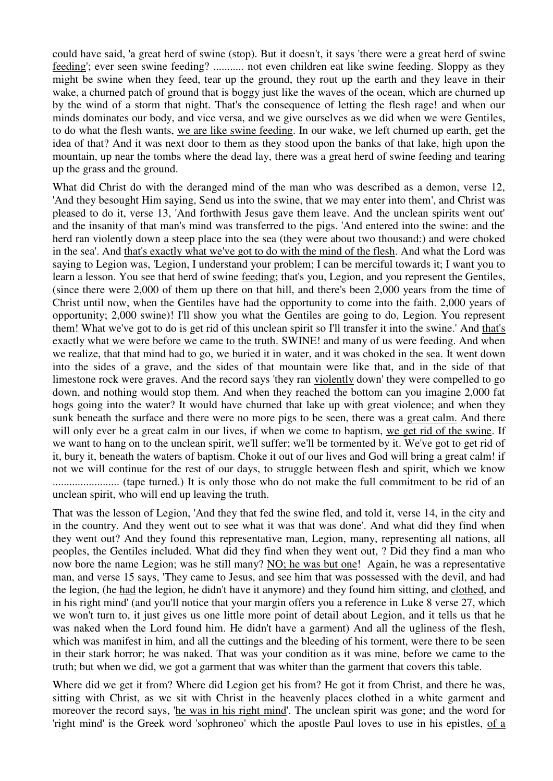could have said, 'a great herd of swine (stop). But it doesn't, it says 'there were a great herd of swine feeding'; ever seen swine feeding? ........... not even children eat like swine feeding. Sloppy as they might be swine when they feed, tear up the ground, they rout up the earth and they leave in their wake, a churned patch of ground that is boggy just like the waves of the ocean, which are churned up by the wind of a storm that night. That's the consequence of letting the flesh rage! and when our minds dominates our body, and vice versa, and we give ourselves as we did when we were Gentiles, to do what the flesh wants, we are like swine feeding. In our wake, we left churned up earth, get the idea of that? And it was next door to them as they stood upon the banks of that lake, high upon the mountain, up near the tombs where the dead lay, there was a great herd of swine feeding and tearing up the grass and the ground.

What did Christ do with the deranged mind of the man who was described as a demon, verse 12, 'And they besought Him saying, Send us into the swine, that we may enter into them', and Christ was pleased to do it, verse 13, 'And forthwith Jesus gave them leave. And the unclean spirits went out' and the insanity of that man's mind was transferred to the pigs. 'And entered into the swine: and the herd ran violently down a steep place into the sea (they were about two thousand:) and were choked in the sea'. And that's exactly what we've got to do with the mind of the flesh. And what the Lord was saying to Legion was, 'Legion, I understand your problem; I can be merciful towards it; I want you to learn a lesson. You see that herd of swine feeding; that's you, Legion, and you represent the Gentiles, (since there were 2,000 of them up there on that hill, and there's been 2,000 years from the time of Christ until now, when the Gentiles have had the opportunity to come into the faith. 2,000 years of opportunity; 2,000 swine)! I'll show you what the Gentiles are going to do, Legion. You represent them! What we've got to do is get rid of this unclean spirit so I'll transfer it into the swine.' And that's exactly what we were before we came to the truth. SWINE! and many of us were feeding. And when we realize, that that mind had to go, we buried it in water, and it was choked in the sea. It went down into the sides of a grave, and the sides of that mountain were like that, and in the side of that limestone rock were graves. And the record says 'they ran violently down' they were compelled to go down, and nothing would stop them. And when they reached the bottom can you imagine 2,000 fat hogs going into the water? It would have churned that lake up with great violence; and when they sunk beneath the surface and there were no more pigs to be seen, there was a great calm. And there will only ever be a great calm in our lives, if when we come to baptism, we get rid of the swine. If we want to hang on to the unclean spirit, we'll suffer; we'll be tormented by it. We've got to get rid of it, bury it, beneath the waters of baptism. Choke it out of our lives and God will bring a great calm! if not we will continue for the rest of our days, to struggle between flesh and spirit, which we know ........................ (tape turned.) It is only those who do not make the full commitment to be rid of an unclean spirit, who will end up leaving the truth.

That was the lesson of Legion, 'And they that fed the swine fled, and told it, verse 14, in the city and in the country. And they went out to see what it was that was done'. And what did they find when they went out? And they found this representative man, Legion, many, representing all nations, all peoples, the Gentiles included. What did they find when they went out, ? Did they find a man who now bore the name Legion; was he still many? NO; he was but one! Again, he was a representative man, and verse 15 says, 'They came to Jesus, and see him that was possessed with the devil, and had the legion, (he had the legion, he didn't have it anymore) and they found him sitting, and clothed, and in his right mind' (and you'll notice that your margin offers you a reference in Luke 8 verse 27, which we won't turn to, it just gives us one little more point of detail about Legion, and it tells us that he was naked when the Lord found him. He didn't have a garment) And all the ugliness of the flesh, which was manifest in him, and all the cuttings and the bleeding of his torment, were there to be seen in their stark horror; he was naked. That was your condition as it was mine, before we came to the truth; but when we did, we got a garment that was whiter than the garment that covers this table.

Where did we get it from? Where did Legion get his from? He got it from Christ, and there he was, sitting with Christ, as we sit with Christ in the heavenly places clothed in a white garment and moreover the record says, 'he was in his right mind'. The unclean spirit was gone; and the word for 'right mind' is the Greek word 'sophroneo' which the apostle Paul loves to use in his epistles, of a